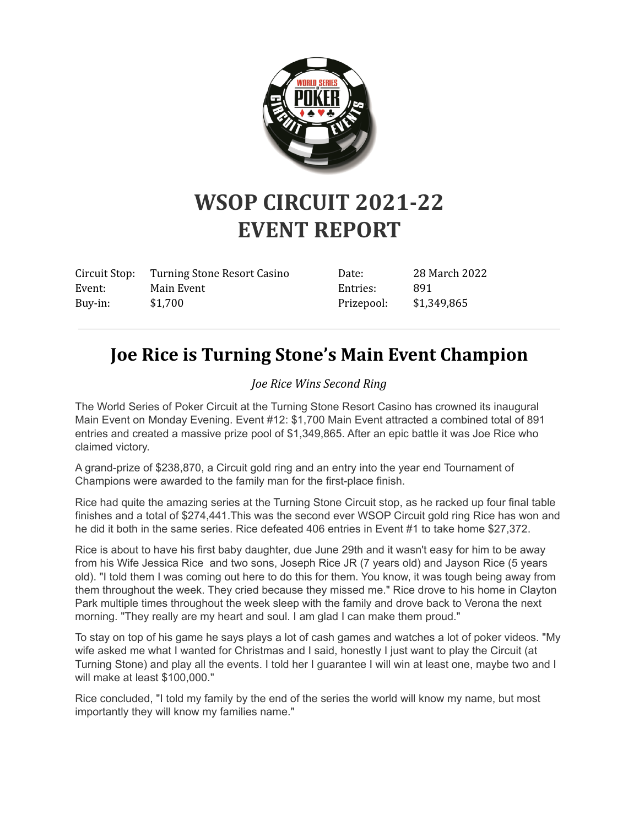

# **WSOP CIRCUIT 2021-22 EVENT REPORT**

| Circuit Stop: | Turning Stone Resort Casino | Date:      | 28 March 2022 |
|---------------|-----------------------------|------------|---------------|
| Event:        | Main Event                  | Entries:   | 891           |
| Buy-in:       | \$1,700                     | Prizepool: | \$1,349,865   |

# **Joe Rice is Turning Stone's Main Event Champion**

#### *Joe Rice Wins Second Ring*

The World Series of Poker Circuit at the Turning Stone Resort Casino has crowned its inaugural Main Event on Monday Evening. Event #12: \$1,700 Main Event attracted a combined total of 891 entries and created a massive prize pool of \$1,349,865. After an epic battle it was Joe Rice who claimed victory.

A grand-prize of \$238,870, a Circuit gold ring and an entry into the year end Tournament of Champions were awarded to the family man for the first-place finish.

Rice had quite the amazing series at the Turning Stone Circuit stop, as he racked up four final table finishes and a total of \$274,441.This was the second ever WSOP Circuit gold ring Rice has won and he did it both in the same series. Rice defeated 406 entries in Event #1 to take home \$27,372.

Rice is about to have his first baby daughter, due June 29th and it wasn't easy for him to be away from his Wife Jessica Rice and two sons, Joseph Rice JR (7 years old) and Jayson Rice (5 years old). "I told them I was coming out here to do this for them. You know, it was tough being away from them throughout the week. They cried because they missed me." Rice drove to his home in Clayton Park multiple times throughout the week sleep with the family and drove back to Verona the next morning. "They really are my heart and soul. I am glad I can make them proud."

To stay on top of his game he says plays a lot of cash games and watches a lot of poker videos. "My wife asked me what I wanted for Christmas and I said, honestly I just want to play the Circuit (at Turning Stone) and play all the events. I told her I guarantee I will win at least one, maybe two and I will make at least \$100,000."

Rice concluded, "I told my family by the end of the series the world will know my name, but most importantly they will know my families name."